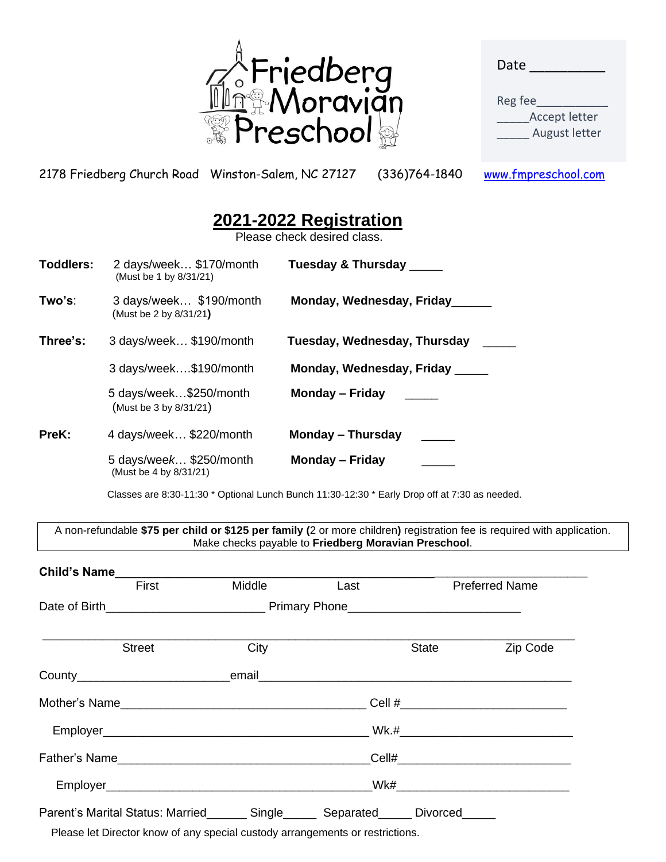

| Date |  |  |
|------|--|--|
|      |  |  |

Reg fee\_\_\_\_\_\_\_\_\_\_\_ Accept letter August letter

2178 Friedberg Church Road Winston-Salem, NC 27127 (336)764-1840 [www.fmpreschool.com](http://www.fmpreschool.com/)

# **2021-2022 Registration**

Please check desired class.

| <b>Toddlers:</b> | 2 days/week \$170/month<br>(Must be 1 by 8/31/21) | Tuesday & Thursday _____     |
|------------------|---------------------------------------------------|------------------------------|
| Two's:           | 3 days/week \$190/month<br>(Must be 2 by 8/31/21) | Monday, Wednesday, Friday    |
| Three's:         | 3 days/week \$190/month                           | Tuesday, Wednesday, Thursday |
|                  | 3 days/week\$190/month                            | Monday, Wednesday, Friday    |
|                  | 5 days/week\$250/month<br>(Must be 3 by 8/31/21)  | <b>Monday – Friday</b>       |
| PreK:            | 4 days/week \$220/month                           | Monday – Thursday            |
|                  | 5 days/week \$250/month<br>(Must be 4 by 8/31/21) | <b>Monday – Friday</b>       |

Classes are 8:30-11:30 \* Optional Lunch Bunch 11:30-12:30 \* Early Drop off at 7:30 as needed.

A non-refundable **\$75 per child or \$125 per family (**2 or more children**)** registration fee is required with application. Make checks payable to **Friedberg Moravian Preschool**.

| <b>Child's Name</b>                                 |        |                |          |                       |  |
|-----------------------------------------------------|--------|----------------|----------|-----------------------|--|
| First                                               | Middle | Last           |          | <b>Preferred Name</b> |  |
|                                                     |        |                |          |                       |  |
| <b>Street</b>                                       | City   |                | State    | Zip Code              |  |
|                                                     |        |                |          |                       |  |
| Mother's Name                                       |        |                |          |                       |  |
|                                                     |        |                |          |                       |  |
|                                                     |        |                |          |                       |  |
|                                                     |        |                |          |                       |  |
| Parent's Marital Status: Married_______ Single_____ |        | Separated_____ | Divorced |                       |  |

Please let Director know of any special custody arrangements or restrictions.